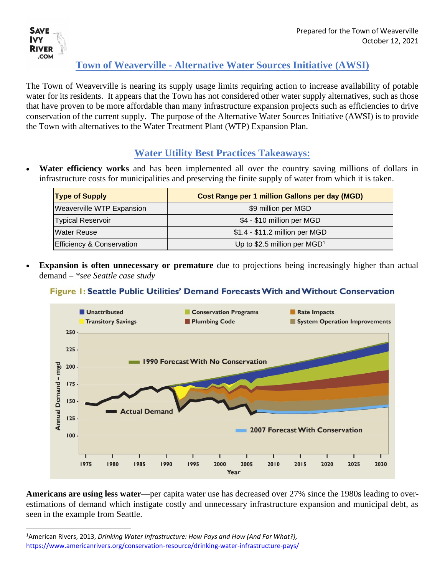

### **Town of Weaverville - Alternative Water Sources Initiative (AWSI)**

The Town of Weaverville is nearing its supply usage limits requiring action to increase availability of potable water for its residents. It appears that the Town has not considered other water supply alternatives, such as those that have proven to be more affordable than many infrastructure expansion projects such as efficiencies to drive conservation of the current supply. The purpose of the Alternative Water Sources Initiative (AWSI) is to provide the Town with alternatives to the Water Treatment Plant (WTP) Expansion Plan.

### **Water Utility Best Practices Takeaways:**

• **Water efficiency works** and has been implemented all over the country saving millions of dollars in infrastructure costs for municipalities and preserving the finite supply of water from which it is taken.

| <b>Type of Supply</b>     | Cost Range per 1 million Gallons per day (MGD) |
|---------------------------|------------------------------------------------|
| Weaverville WTP Expansion | \$9 million per MGD                            |
| <b>Typical Reservoir</b>  | \$4 - \$10 million per MGD                     |
| lWater Reuse              | \$1.4 - \$11.2 million per MGD                 |
| Efficiency & Conservation | Up to \$2.5 million per $MGD1$                 |

**Expansion is often unnecessary or premature** due to projections being increasingly higher than actual demand – *\*see Seattle case study*

#### Figure 1: Seattle Public Utilities' Demand Forecasts With and Without Conservation



**Americans are using less water**—per capita water use has decreased over 27% since the 1980s leading to overestimations of demand which instigate costly and unnecessary infrastructure expansion and municipal debt, as seen in the example from Seattle.

<sup>1</sup>American Rivers, 2013, *Drinking Water Infrastructure: How Pays and How (And For What?),* <https://www.americanrivers.org/conservation-resource/drinking-water-infrastructure-pays/>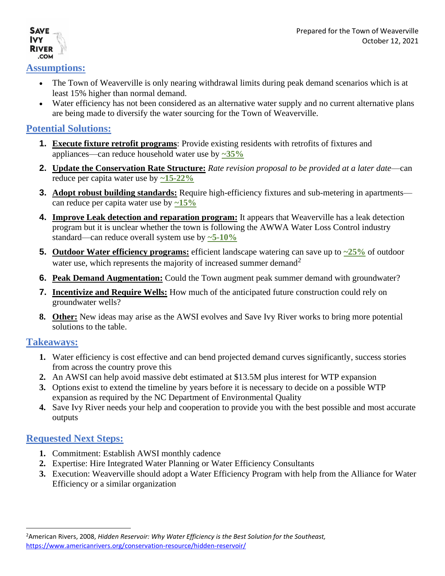#### **Assumptions:**

**SAVE IVY RIVER** .COM

- The Town of Weaverville is only nearing withdrawal limits during peak demand scenarios which is at least 15% higher than normal demand.
- Water efficiency has not been considered as an alternative water supply and no current alternative plans are being made to diversify the water sourcing for the Town of Weaverville.

#### **Potential Solutions:**

- **1. Execute fixture retrofit programs**: Provide existing residents with retrofits of fixtures and appliances—can reduce household water use by **~35%**
- **2. Update the Conservation Rate Structure:** *Rate revision proposal to be provided at a later date*—can reduce per capita water use by **~15-22%**
- **3. Adopt robust building standards:** Require high-efficiency fixtures and sub-metering in apartments can reduce per capita water use by **~15%**
- **4. Improve Leak detection and reparation program:** It appears that Weaverville has a leak detection program but it is unclear whether the town is following the AWWA Water Loss Control industry standard—can reduce overall system use by **~5-10%**
- **5. Outdoor Water efficiency programs:** efficient landscape watering can save up to  $\frac{25}{6}$  of outdoor water use, which represents the majority of increased summer demand<sup>2</sup>
- **6. Peak Demand Augmentation:** Could the Town augment peak summer demand with groundwater?
- **7. Incentivize and Require Wells:** How much of the anticipated future construction could rely on groundwater wells?
- **8. Other:** New ideas may arise as the AWSI evolves and Save Ivy River works to bring more potential solutions to the table.

#### **Takeaways:**

- **1.** Water efficiency is cost effective and can bend projected demand curves significantly, success stories from across the country prove this
- **2.** An AWSI can help avoid massive debt estimated at \$13.5M plus interest for WTP expansion
- **3.** Options exist to extend the timeline by years before it is necessary to decide on a possible WTP expansion as required by the NC Department of Environmental Quality
- **4.** Save Ivy River needs your help and cooperation to provide you with the best possible and most accurate outputs

#### **Requested Next Steps:**

- **1.** Commitment: Establish AWSI monthly cadence
- **2.** Expertise: Hire Integrated Water Planning or Water Efficiency Consultants
- **3.** Execution: Weaverville should adopt a Water Efficiency Program with help from the Alliance for Water Efficiency or a similar organization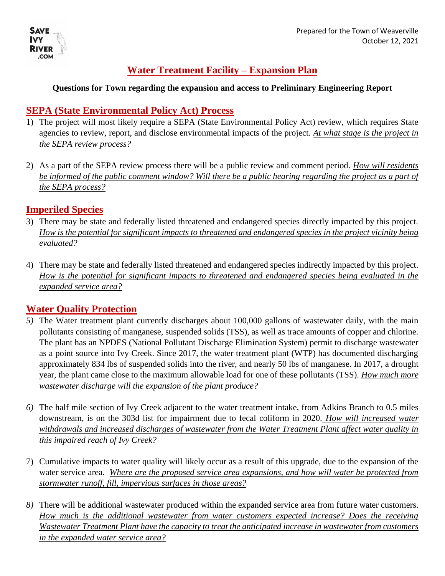

# **Water Treatment Facility – Expansion Plan**

#### **Questions for Town regarding the expansion and access to Preliminary Engineering Report**

### **SEPA (State Environmental Policy Act) Process**

- 1) The project will most likely require a SEPA (State Environmental Policy Act) review, which requires State agencies to review, report, and disclose environmental impacts of the project. *At what stage is the project in the SEPA review process?*
- 2) As a part of the SEPA review process there will be a public review and comment period. *How will residents be informed of the public comment window? Will there be a public hearing regarding the project as a part of the SEPA process?*

### **Imperiled Species**

- 3) There may be state and federally listed threatened and endangered species directly impacted by this project. *How is the potential for significant impacts to threatened and endangered species in the project vicinity being evaluated?*
- 4) There may be state and federally listed threatened and endangered species indirectly impacted by this project. *How is the potential for significant impacts to threatened and endangered species being evaluated in the expanded service area?*

## **Water Quality Protection**

- *5)* The Water treatment plant currently discharges about 100,000 gallons of wastewater daily, with the main pollutants consisting of manganese, suspended solids (TSS), as well as trace amounts of copper and chlorine. The plant has an NPDES (National Pollutant Discharge Elimination System) permit to discharge wastewater as a point source into Ivy Creek. Since 2017, the water treatment plant (WTP) has documented discharging approximately 834 lbs of suspended solids into the river, and nearly 50 lbs of manganese. In 2017, a drought year, the plant came close to the maximum allowable load for one of these pollutants (TSS). *How much more wastewater discharge will the expansion of the plant produce?*
- *6)* The half mile section of Ivy Creek adjacent to the water treatment intake, from Adkins Branch to 0.5 miles downstream, is on the 303d list for impairment due to fecal coliform in 2020. *How will increased water withdrawals and increased discharges of wastewater from the Water Treatment Plant affect water quality in this impaired reach of Ivy Creek?*
- 7) Cumulative impacts to water quality will likely occur as a result of this upgrade, due to the expansion of the water service area. *Where are the proposed service area expansions, and how will water be protected from stormwater runoff, fill, impervious surfaces in those areas?*
- *8)* There will be additional wastewater produced within the expanded service area from future water customers. *How much is the additional wastewater from water customers expected increase? Does the receiving Wastewater Treatment Plant have the capacity to treat the anticipated increase in wastewater from customers in the expanded water service area?*